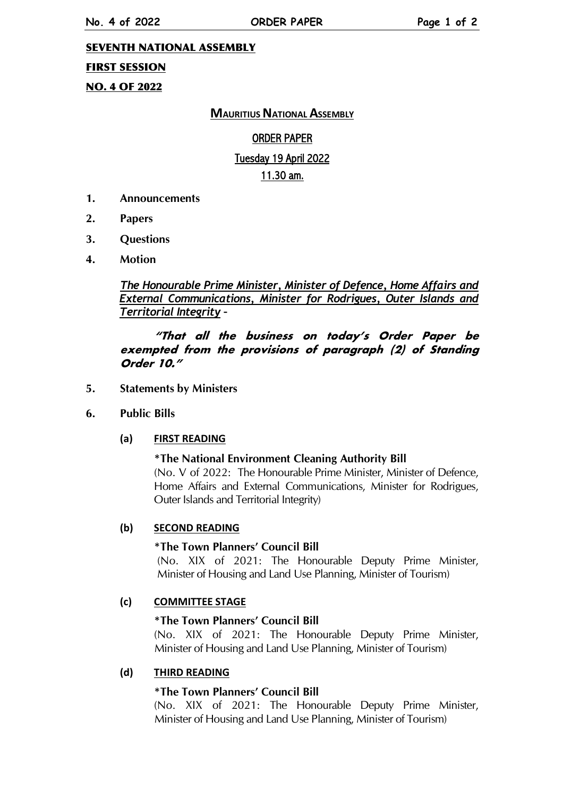**ORDER PAPER** 

#### **SEVENTH NATIONAL ASSEMBLY**

## **FIRST SESSION**

# **NO. 4 OF 2022**

## **MAURITIUS NATIONAL ASSEMBLY**

## **ORDER PAPER**

#### Tuesday 19 April 2022

#### 11.30 am.

- 1. **Announcements**
- $2.$ **Papers**
- 3. **Ouestions**
- $\overline{\mathbf{4}}$ . **Motion**

## The Honourable Prime Minister, Minister of Defence, Home Affairs and External Communications, Minister for Rodrigues, Outer Islands and **Territorial Integrity -**

## "That all the business on today's Order Paper be exempted from the provisions of paragraph (2) of Standing Order 10."

- **Statements by Ministers** 5.
- 6. **Public Bills**

#### $(a)$ **FIRST READING**

#### \*The National Environment Cleaning Authority Bill (No. V of 2022: The Honourable Prime Minister, Minister of Defence, Home Affairs and External Communications, Minister for Rodrigues, Outer Islands and Territorial Integrity)

#### $(b)$ **SECOND READING**

## \*The Town Planners' Council Bill

(No. XIX of 2021: The Honourable Deputy Prime Minister, Minister of Housing and Land Use Planning, Minister of Tourism)

#### $(c)$ **COMMITTEE STAGE**

## \*The Town Planners' Council Bill

(No. XIX of 2021: The Honourable Deputy Prime Minister, Minister of Housing and Land Use Planning, Minister of Tourism)

#### $(d)$ **THIRD READING**

## \*The Town Planners' Council Bill

(No. XIX of 2021: The Honourable Deputy Prime Minister, Minister of Housing and Land Use Planning, Minister of Tourism)